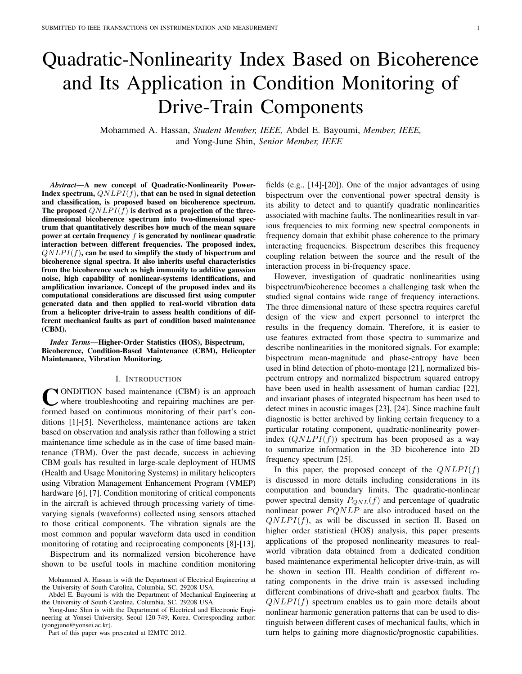# Quadratic-Nonlinearity Index Based on Bicoherence and Its Application in Condition Monitoring of Drive-Train Components

Mohammed A. Hassan, *Student Member, IEEE,* Abdel E. Bayoumi, *Member, IEEE,* and Yong-June Shin, *Senior Member, IEEE*

*Abstract*—A new concept of Quadratic-Nonlinearity Power-Index spectrum,  $QNLPI(f)$ , that can be used in signal detection and classification, is proposed based on bicoherence spectrum. The proposed  $QNLPI(f)$  is derived as a projection of the threedimensional bicoherence spectrum into two-dimensional spectrum that quantitatively describes how much of the mean square power at certain frequency  $f$  is generated by nonlinear quadratic interaction between different frequencies. The proposed index,  $QNLPI(f)$ , can be used to simplify the study of bispectrum and bicoherence signal spectra. It also inherits useful characteristics from the bicoherence such as high immunity to additive gaussian noise, high capability of nonlinear-systems identifications, and amplification invariance. Concept of the proposed index and its computational considerations are discussed first using computer generated data and then applied to real-world vibration data from a helicopter drive-train to assess health conditions of different mechanical faults as part of condition based maintenance (CBM).

*Index Terms*—Higher-Order Statistics (HOS), Bispectrum, Bicoherence, Condition-Based Maintenance (CBM), Helicopter Maintenance, Vibration Monitoring.

#### I. INTRODUCTION

CONDITION based maintenance (CBM) is an approach<br>where troubleshooting and repairing machines are perwhere troubleshooting and repairing machines are performed based on continuous monitoring of their part's conditions [1]-[5]. Nevertheless, maintenance actions are taken based on observation and analysis rather than following a strict maintenance time schedule as in the case of time based maintenance (TBM). Over the past decade, success in achieving CBM goals has resulted in large-scale deployment of HUMS (Health and Usage Monitoring Systems) in military helicopters using Vibration Management Enhancement Program (VMEP) hardware [6], [7]. Condition monitoring of critical components in the aircraft is achieved through processing variety of timevarying signals (waveforms) collected using sensors attached to those critical components. The vibration signals are the most common and popular waveform data used in condition monitoring of rotating and reciprocating components [8]-[13].

Bispectrum and its normalized version bicoherence have shown to be useful tools in machine condition monitoring

Yong-June Shin is with the Department of Electrical and Electronic Engineering at Yonsei University, Seoul 120-749, Korea. Corresponding author: (yongjune@yonsei.ac.kr).

Part of this paper was presented at I2MTC 2012.

fields (e.g., [14]-[20]). One of the major advantages of using bispectrum over the conventional power spectral density is its ability to detect and to quantify quadratic nonlinearities associated with machine faults. The nonlinearities result in various frequencies to mix forming new spectral components in frequency domain that exhibit phase coherence to the primary interacting frequencies. Bispectrum describes this frequency coupling relation between the source and the result of the interaction process in bi-frequency space.

However, investigation of quadratic nonlinearities using bispectrum/bicoherence becomes a challenging task when the studied signal contains wide range of frequency interactions. The three dimensional nature of these spectra requires careful design of the view and expert personnel to interpret the results in the frequency domain. Therefore, it is easier to use features extracted from those spectra to summarize and describe nonlinearities in the monitored signals. For example; bispectrum mean-magnitude and phase-entropy have been used in blind detection of photo-montage [21], normalized bispectrum entropy and normalized bispectrum squared entropy have been used in health assessment of human cardiac [22], and invariant phases of integrated bispectrum has been used to detect mines in acoustic images [23], [24]. Since machine fault diagnostic is better archived by linking certain frequency to a particular rotating component, quadratic-nonlinearity powerindex  $(QNLPI(f))$  spectrum has been proposed as a way to summarize information in the 3D bicoherence into 2D frequency spectrum [25].

In this paper, the proposed concept of the  $QNLPI(f)$ is discussed in more details including considerations in its computation and boundary limits. The quadratic-nonlinear power spectral density  $P_{QNL}(f)$  and percentage of quadratic nonlinear power  $PQNLP$  are also introduced based on the  $QNLPI(f)$ , as will be discussed in section II. Based on higher order statistical (HOS) analysis, this paper presents applications of the proposed nonlinearity measures to realworld vibration data obtained from a dedicated condition based maintenance experimental helicopter drive-train, as will be shown in section III. Health condition of different rotating components in the drive train is assessed including different combinations of drive-shaft and gearbox faults. The  $QNLPI(f)$  spectrum enables us to gain more details about nonlinear harmonic generation patterns that can be used to distinguish between different cases of mechanical faults, which in turn helps to gaining more diagnostic/prognostic capabilities.

Mohammed A. Hassan is with the Department of Electrical Engineering at the University of South Carolina, Columbia, SC, 29208 USA.

Abdel E. Bayoumi is with the Department of Mechanical Engineering at the University of South Carolina, Columbia, SC, 29208 USA.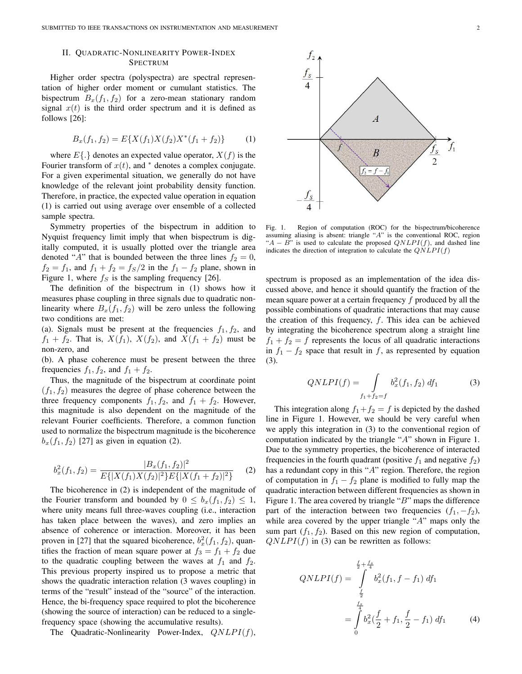## II. QUADRATIC-NONLINEARITY POWER-INDEX SPECTRUM

Higher order spectra (polyspectra) are spectral representation of higher order moment or cumulant statistics. The bispectrum  $B_x(f_1, f_2)$  for a zero-mean stationary random signal  $x(t)$  is the third order spectrum and it is defined as follows [26]:

$$
B_x(f_1, f_2) = E\{X(f_1)X(f_2)X^*(f_1 + f_2)\}\tag{1}
$$

where  $E\{\cdot\}$  denotes an expected value operator,  $X(f)$  is the Fourier transform of  $x(t)$ , and  $*$  denotes a complex conjugate. For a given experimental situation, we generally do not have knowledge of the relevant joint probability density function. Therefore, in practice, the expected value operation in equation (1) is carried out using average over ensemble of a collected sample spectra.

Symmetry properties of the bispectrum in addition to Nyquist frequency limit imply that when bispectrum is digitally computed, it is usually plotted over the triangle area denoted "A" that is bounded between the three lines  $f_2 = 0$ ,  $f_2 = f_1$ , and  $f_1 + f_2 = f_S/2$  in the  $f_1 - f_2$  plane, shown in Figure 1, where  $f<sub>S</sub>$  is the sampling frequency [26].

The definition of the bispectrum in (1) shows how it measures phase coupling in three signals due to quadratic nonlinearity where  $B_x(f_1, f_2)$  will be zero unless the following two conditions are met:

(a). Signals must be present at the frequencies  $f_1, f_2$ , and  $f_1 + f_2$ . That is,  $X(f_1)$ ,  $X(f_2)$ , and  $X(f_1 + f_2)$  must be non-zero, and

(b). A phase coherence must be present between the three frequencies  $f_1$ ,  $f_2$ , and  $f_1 + f_2$ .

Thus, the magnitude of the bispectrum at coordinate point  $(f_1, f_2)$  measures the degree of phase coherence between the three frequency components  $f_1, f_2$ , and  $f_1 + f_2$ . However, this magnitude is also dependent on the magnitude of the relevant Fourier coefficients. Therefore, a common function used to normalize the bispectrum magnitude is the bicoherence  $b_x(f_1, f_2)$  [27] as given in equation (2).

$$
b_x^2(f_1, f_2) = \frac{|B_x(f_1, f_2)|^2}{E\{|X(f_1)X(f_2)|^2\}E\{|X(f_1 + f_2)|^2\}} \tag{2}
$$

The bicoherence in (2) is independent of the magnitude of the Fourier transform and bounded by  $0 \leq b_x(f_1, f_2) \leq 1$ , where unity means full three-waves coupling (i.e., interaction has taken place between the waves), and zero implies an absence of coherence or interaction. Moreover, it has been proven in [27] that the squared bicoherence,  $b_x^2(f_1, f_2)$ , quantifies the fraction of mean square power at  $f_3 = f_1 + f_2$  due to the quadratic coupling between the waves at  $f_1$  and  $f_2$ . This previous property inspired us to propose a metric that shows the quadratic interaction relation (3 waves coupling) in terms of the "result" instead of the "source" of the interaction. Hence, the bi-frequency space required to plot the bicoherence (showing the source of interaction) can be reduced to a singlefrequency space (showing the accumulative results).

The Quadratic-Nonlinearity Power-Index,  $QNLPI(f)$ ,



Fig. 1. Region of computation (ROC) for the bispectrum/bicoherence assuming aliasing is absent: triangle "A" is the conventional ROC, region " $A - B$ " is used to calculate the proposed  $QNLPI(f)$ , and dashed line indicates the direction of integration to calculate the  $QNLPI(f)$ 

spectrum is proposed as an implementation of the idea discussed above, and hence it should quantify the fraction of the mean square power at a certain frequency  $f$  produced by all the possible combinations of quadratic interactions that may cause the creation of this frequency,  $f$ . This idea can be achieved by integrating the bicoherence spectrum along a straight line  $f_1 + f_2 = f$  represents the locus of all quadratic interactions in  $f_1 - f_2$  space that result in f, as represented by equation (3).

$$
QNLPI(f) = \int_{f_1 + f_2 = f} b_x^2(f_1, f_2) df_1 \tag{3}
$$

This integration along  $f_1+f_2 = f$  is depicted by the dashed line in Figure 1. However, we should be very careful when we apply this integration in (3) to the conventional region of computation indicated by the triangle "A" shown in Figure 1. Due to the symmetry properties, the bicoherence of interacted frequencies in the fourth quadrant (positive  $f_1$  and negative  $f_2$ ) has a redundant copy in this "A" region. Therefore, the region of computation in  $f_1 - f_2$  plane is modified to fully map the quadratic interaction between different frequencies as shown in Figure 1. The area covered by triangle " $B$ " maps the difference part of the interaction between two frequencies  $(f_1, -f_2)$ , while area covered by the upper triangle " $A$ " maps only the sum part  $(f_1, f_2)$ . Based on this new region of computation,  $QNLPI(f)$  in (3) can be rewritten as follows:

$$
QNLPI(f) = \int_{\frac{f_2}{2}}^{\frac{f_2}{2} + \frac{f_s}{4}} b_x^2(f_1, f - f_1) df_1
$$
  
= 
$$
\int_{0}^{\frac{f_s}{2}} b_x^2(\frac{f}{2} + f_1, \frac{f}{2} - f_1) df_1
$$
 (4)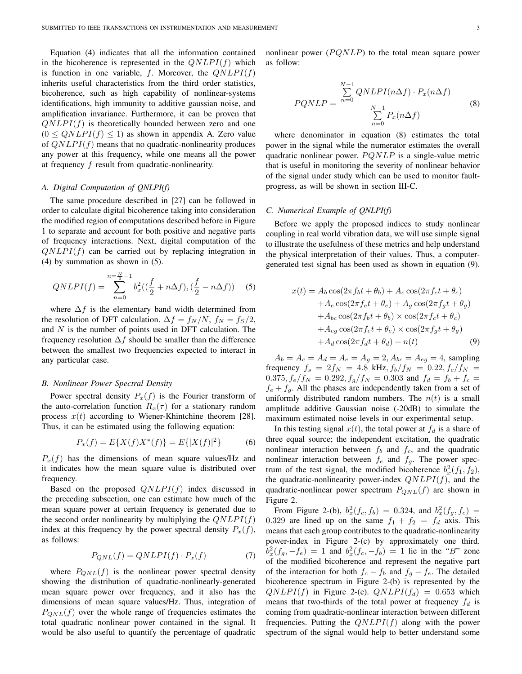Equation (4) indicates that all the information contained in the bicoherence is represented in the  $QNLPI(f)$  which is function in one variable, f. Moreover, the  $QNLPI(f)$ inherits useful characteristics from the third order statistics, bicoherence, such as high capability of nonlinear-systems identifications, high immunity to additive gaussian noise, and amplification invariance. Furthermore, it can be proven that  $QNLPI(f)$  is theoretically bounded between zero and one  $(0 \leq QNLPI(f) \leq 1)$  as shown in appendix A. Zero value of  $QNLPI(f)$  means that no quadratic-nonlinearity produces any power at this frequency, while one means all the power at frequency  $f$  result from quadratic-nonlinearity.

## *A. Digital Computation of QNLPI(f)*

The same procedure described in [27] can be followed in order to calculate digital bicoherence taking into consideration the modified region of computations described before in Figure 1 to separate and account for both positive and negative parts of frequency interactions. Next, digital computation of the  $QNLPI(f)$  can be carried out by replacing integration in (4) by summation as shown in (5).

$$
QNLPI(f) = \sum_{n=0}^{n=\frac{N}{2}-1} b_x^2((\frac{f}{2} + n\Delta f), (\frac{f}{2} - n\Delta f))
$$
 (5)

where  $\Delta f$  is the elementary band width determined from the resolution of DFT calculation.  $\Delta f = f_N/N$ ,  $f_N = f_S/2$ , and  $N$  is the number of points used in DFT calculation. The frequency resolution  $\Delta f$  should be smaller than the difference between the smallest two frequencies expected to interact in any particular case.

#### *B. Nonlinear Power Spectral Density*

Power spectral density  $P_x(f)$  is the Fourier transform of the auto-correlation function  $R_x(\tau)$  for a stationary random process  $x(t)$  according to Wiener-Khintchine theorem [28]. Thus, it can be estimated using the following equation:

$$
P_x(f) = E\{X(f)X^*(f)\} = E\{|X(f)|^2\}
$$
 (6)

 $P<sub>x</sub>(f)$  has the dimensions of mean square values/Hz and it indicates how the mean square value is distributed over frequency.

Based on the proposed  $QNLPI(f)$  index discussed in the preceding subsection, one can estimate how much of the mean square power at certain frequency is generated due to the second order nonlinearity by multiplying the  $QNLPI(f)$ index at this frequency by the power spectral density  $P_x(f)$ , as follows:

$$
P_{QNL}(f) = QNLPI(f) \cdot P_x(f) \tag{7}
$$

where  $P_{ONL}(f)$  is the nonlinear power spectral density showing the distribution of quadratic-nonlinearly-generated mean square power over frequency, and it also has the dimensions of mean square values/Hz. Thus, integration of  $P_{ONL}(f)$  over the whole range of frequencies estimates the total quadratic nonlinear power contained in the signal. It would be also useful to quantify the percentage of quadratic nonlinear power  $(PQNLP)$  to the total mean square power as follow:

$$
PQNLP = \frac{\sum_{n=0}^{N-1} QNLPI(n\Delta f) \cdot P_x(n\Delta f)}{\sum_{n=0}^{N-1} P_x(n\Delta f)}
$$
(8)

where denominator in equation (8) estimates the total power in the signal while the numerator estimates the overall quadratic nonlinear power.  $PQNLP$  is a single-value metric that is useful in monitoring the severity of nonlinear behavior of the signal under study which can be used to monitor faultprogress, as will be shown in section III-C.

#### *C. Numerical Example of QNLPI(f)*

Before we apply the proposed indices to study nonlinear coupling in real world vibration data, we will use simple signal to illustrate the usefulness of these metrics and help understand the physical interpretation of their values. Thus, a computergenerated test signal has been used as shown in equation (9).

$$
x(t) = A_b \cos(2\pi f_b t + \theta_b) + A_c \cos(2\pi f_c t + \theta_c)
$$
  
+ 
$$
A_e \cos(2\pi f_c t + \theta_e) + A_g \cos(2\pi f_g t + \theta_g)
$$
  
+ 
$$
A_{bc} \cos(2\pi f_b t + \theta_b) \times \cos(2\pi f_c t + \theta_c)
$$
  
+ 
$$
A_{eg} \cos(2\pi f_c t + \theta_e) \times \cos(2\pi f_g t + \theta_g)
$$
  
+ 
$$
A_d \cos(2\pi f_d t + \theta_d) + n(t)
$$
 (9)

 $A_b = A_c = A_d = A_e = A_g = 2, A_{bc} = A_{eg} = 4$ , sampling frequency  $f_s = 2f_N = 4.8 \text{ kHz}, f_b/f_N = 0.22, f_c/f_N =$  $0.375, f_e/f_N = 0.292, f_g/f_N = 0.303$  and  $f_d = f_b + f_c =$  $f_e + f_q$ . All the phases are independently taken from a set of uniformly distributed random numbers. The  $n(t)$  is a small amplitude additive Gaussian noise (-20dB) to simulate the maximum estimated noise levels in our experimental setup.

In this testing signal  $x(t)$ , the total power at  $f_d$  is a share of three equal source; the independent excitation, the quadratic nonlinear interaction between  $f_b$  and  $f_c$ , and the quadratic nonlinear interaction between  $f_e$  and  $f_g$ . The power spectrum of the test signal, the modified bicoherence  $b_x^2(f_1, f_2)$ , the quadratic-nonlinearity power-index  $QNLPI(f)$ , and the quadratic-nonlinear power spectrum  $P_{QNL}(f)$  are shown in Figure 2.

From Figure 2-(b),  $b_x^2(f_c, f_b) = 0.324$ , and  $b_x^2(f_g, f_e) =$ 0.329 are lined up on the same  $f_1 + f_2 = f_d$  axis. This means that each group contributes to the quadratic-nonlinearity power-index in Figure 2-(c) by approximately one third.  $b_x^2(f_g, -f_e) = 1$  and  $b_x^2(f_c, -f_b) = 1$  lie in the "B" zone of the modified bicoherence and represent the negative part of the interaction for both  $f_c - f_b$  and  $f_q - f_e$ . The detailed bicoherence spectrum in Figure 2-(b) is represented by the  $QNLPI(f)$  in Figure 2-(c).  $QNLPI(f_d) = 0.653$  which means that two-thirds of the total power at frequency  $f_d$  is coming from quadratic-nonlinear interaction between different frequencies. Putting the  $QNLPI(f)$  along with the power spectrum of the signal would help to better understand some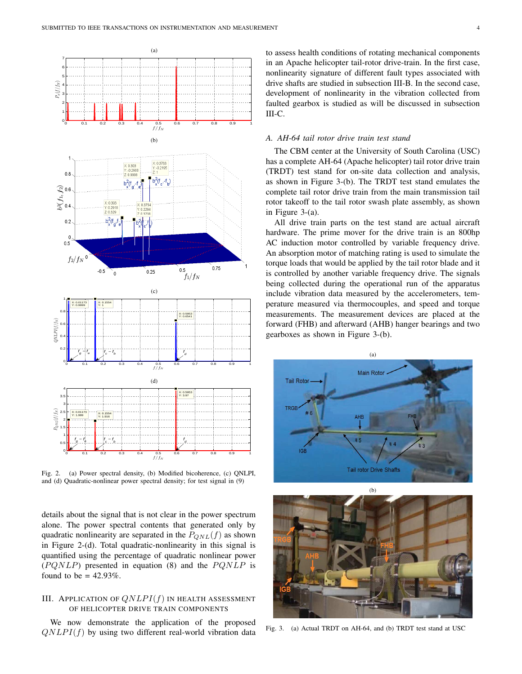

Fig. 2. (a) Power spectral density, (b) Modified bicoherence, (c) QNLPI, and (d) Quadratic-nonlinear power spectral density; for test signal in (9)

details about the signal that is not clear in the power spectrum alone. The power spectral contents that generated only by quadratic nonlinearity are separated in the  $P_{QNL}(f)$  as shown in Figure 2-(d). Total quadratic-nonlinearity in this signal is quantified using the percentage of quadratic nonlinear power  $(PQNLP)$  presented in equation (8) and the  $PQNLP$  is found to be  $= 42.93\%$ .

# III. APPLICATION OF  $QNLPI(f)$  IN HEALTH ASSESSMENT OF HELICOPTER DRIVE TRAIN COMPONENTS

We now demonstrate the application of the proposed  $QNLPI(f)$  by using two different real-world vibration data to assess health conditions of rotating mechanical components in an Apache helicopter tail-rotor drive-train. In the first case, nonlinearity signature of different fault types associated with drive shafts are studied in subsection III-B. In the second case, development of nonlinearity in the vibration collected from faulted gearbox is studied as will be discussed in subsection III-C.

## *A. AH-64 tail rotor drive train test stand*

The CBM center at the University of South Carolina (USC) has a complete AH-64 (Apache helicopter) tail rotor drive train (TRDT) test stand for on-site data collection and analysis, as shown in Figure 3-(b). The TRDT test stand emulates the complete tail rotor drive train from the main transmission tail rotor takeoff to the tail rotor swash plate assembly, as shown in Figure 3-(a).

All drive train parts on the test stand are actual aircraft hardware. The prime mover for the drive train is an 800hp AC induction motor controlled by variable frequency drive. An absorption motor of matching rating is used to simulate the torque loads that would be applied by the tail rotor blade and it is controlled by another variable frequency drive. The signals being collected during the operational run of the apparatus include vibration data measured by the accelerometers, temperature measured via thermocouples, and speed and torque measurements. The measurement devices are placed at the forward (FHB) and afterward (AHB) hanger bearings and two gearboxes as shown in Figure 3-(b).





Fig. 3. (a) Actual TRDT on AH-64, and (b) TRDT test stand at USC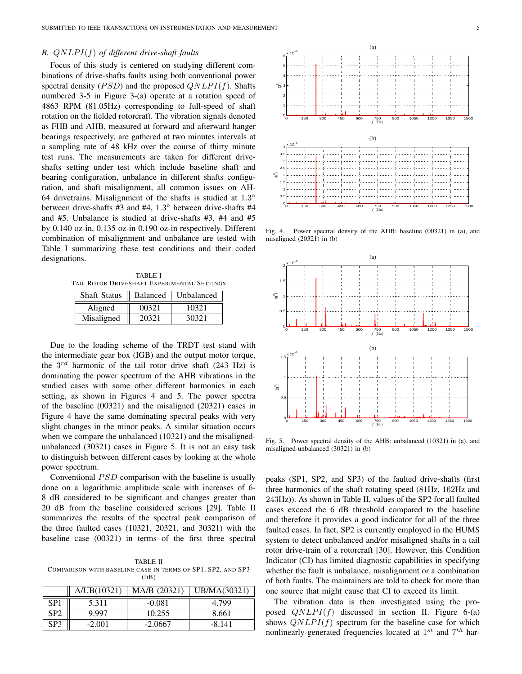# *B.* QNLP I(f) *of different drive-shaft faults*

Focus of this study is centered on studying different combinations of drive-shafts faults using both conventional power spectral density ( $PSD$ ) and the proposed  $QNLPI(f)$ . Shafts numbered 3-5 in Figure 3-(a) operate at a rotation speed of 4863 RPM (81.05Hz) corresponding to full-speed of shaft rotation on the fielded rotorcraft. The vibration signals denoted as FHB and AHB, measured at forward and afterward hanger bearings respectively, are gathered at two minutes intervals at a sampling rate of 48 kHz over the course of thirty minute test runs. The measurements are taken for different driveshafts setting under test which include baseline shaft and bearing configuration, unbalance in different shafts configuration, and shaft misalignment, all common issues on AH-64 drivetrains. Misalignment of the shafts is studied at  $1.3^\circ$ between drive-shafts #3 and #4, 1.3° between drive-shafts #4 and #5. Unbalance is studied at drive-shafts #3, #4 and #5 by 0.140 oz-in, 0.135 oz-in 0.190 oz-in respectively. Different combination of misalignment and unbalance are tested with Table I summarizing these test conditions and their coded designations.

TABLE I TAIL ROTOR DRIVESHAFT EXPERIMENTAL SETTINGS

| <b>Shaft Status</b> | <b>Balanced</b> | Unbalanced |
|---------------------|-----------------|------------|
| Aligned             | 00321           | 10321      |
| Misaligned          | 20321           | 30321      |

Due to the loading scheme of the TRDT test stand with the intermediate gear box (IGB) and the output motor torque, the  $3^{rd}$  harmonic of the tail rotor drive shaft (243 Hz) is dominating the power spectrum of the AHB vibrations in the studied cases with some other different harmonics in each setting, as shown in Figures 4 and 5. The power spectra of the baseline (00321) and the misaligned (20321) cases in Figure 4 have the same dominating spectral peaks with very slight changes in the minor peaks. A similar situation occurs when we compare the unbalanced (10321) and the misalignedunbalanced (30321) cases in Figure 5. It is not an easy task to distinguish between different cases by looking at the whole power spectrum.

Conventional  $PSD$  comparison with the baseline is usually done on a logarithmic amplitude scale with increases of 6- 8 dB considered to be significant and changes greater than 20 dB from the baseline considered serious [29]. Table II summarizes the results of the spectral peak comparison of the three faulted cases (10321, 20321, and 30321) with the baseline case (00321) in terms of the first three spectral

TABLE II COMPARISON WITH BASELINE CASE IN TERMS OF SP1, SP2, AND SP3  $(DB)$ 

|                 | A/UB(10321) | MA/B (20321) | UB/MA(30321) |
|-----------------|-------------|--------------|--------------|
| SP1             | 5.311       | $-0.081$     | 4.799        |
| SP <sub>2</sub> | 9.997       | 10.255       | 8.661        |
| SP <sub>3</sub> | $-2.001$    | $-2.0667$    | $-8.141$     |



Fig. 4. Power spectral density of the AHB: baseline (00321) in (a), and misaligned (20321) in (b)



Fig. 5. Power spectral density of the AHB: unbalanced (10321) in (a), and misaligned-unbalanced (30321) in (b)

peaks (SP1, SP2, and SP3) of the faulted drive-shafts (first three harmonics of the shaft rotating speed (81Hz, 162Hz and 243Hz)). As shown in Table II, values of the SP2 for all faulted cases exceed the 6 dB threshold compared to the baseline and therefore it provides a good indicator for all of the three faulted cases. In fact, SP2 is currently employed in the HUMS system to detect unbalanced and/or misaligned shafts in a tail rotor drive-train of a rotorcraft [30]. However, this Condition Indicator (CI) has limited diagnostic capabilities in specifying whether the fault is unbalance, misalignment or a combination of both faults. The maintainers are told to check for more than one source that might cause that CI to exceed its limit.

The vibration data is then investigated using the proposed  $QNLPI(f)$  discussed in section II. Figure 6-(a) shows  $QNLPI(f)$  spectrum for the baseline case for which nonlinearly-generated frequencies located at  $1^{st}$  and  $7^{th}$  har-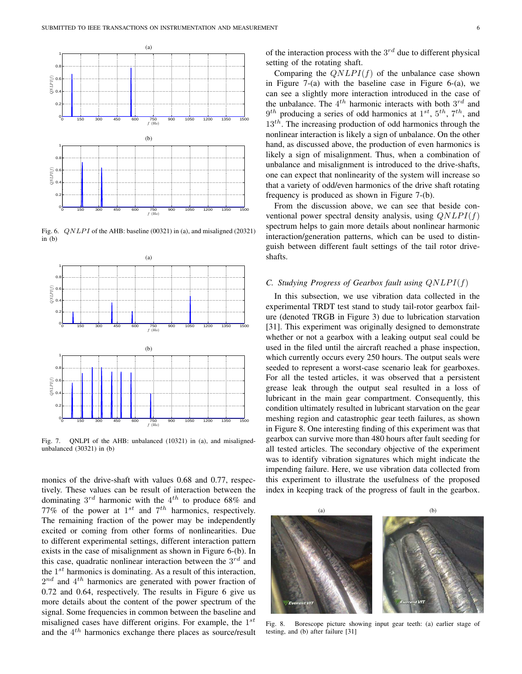

Fig. 6. *QNLPI* of the AHB: baseline (00321) in (a), and misaligned (20321) in (b)



Fig. 7. QNLPI of the AHB: unbalanced (10321) in (a), and misalignedunbalanced (30321) in (b)

monics of the drive-shaft with values 0.68 and 0.77, respectively. These values can be result of interaction between the dominating  $3^{rd}$  harmonic with the  $4^{th}$  to produce 68% and 77% of the power at  $1^{st}$  and  $7^{th}$  harmonics, respectively. The remaining fraction of the power may be independently excited or coming from other forms of nonlinearities. Due to different experimental settings, different interaction pattern exists in the case of misalignment as shown in Figure 6-(b). In this case, quadratic nonlinear interaction between the  $3^{rd}$  and the  $1^{st}$  harmonics is dominating. As a result of this interaction,  $2^{nd}$  and  $4^{th}$  harmonics are generated with power fraction of 0.72 and 0.64, respectively. The results in Figure 6 give us more details about the content of the power spectrum of the signal. Some frequencies in common between the baseline and misaligned cases have different origins. For example, the  $1^{st}$ and the  $4^{th}$  harmonics exchange there places as source/result

of the interaction process with the  $3^{rd}$  due to different physical setting of the rotating shaft.

Comparing the  $QNLPI(f)$  of the unbalance case shown in Figure  $7-(a)$  with the baseline case in Figure 6-(a), we can see a slightly more interaction introduced in the case of the unbalance. The  $4^{th}$  harmonic interacts with both  $3^{rd}$  and  $9<sup>th</sup>$  producing a series of odd harmonics at  $1<sup>st</sup>$ ,  $5<sup>th</sup>$ ,  $7<sup>th</sup>$ , and  $13<sup>th</sup>$ . The increasing production of odd harmonics through the nonlinear interaction is likely a sign of unbalance. On the other hand, as discussed above, the production of even harmonics is likely a sign of misalignment. Thus, when a combination of unbalance and misalignment is introduced to the drive-shafts, one can expect that nonlinearity of the system will increase so that a variety of odd/even harmonics of the drive shaft rotating frequency is produced as shown in Figure 7-(b).

From the discussion above, we can see that beside conventional power spectral density analysis, using  $QNLPI(f)$ spectrum helps to gain more details about nonlinear harmonic interaction/generation patterns, which can be used to distinguish between different fault settings of the tail rotor driveshafts.

## *C. Studying Progress of Gearbox fault using*  $QNLPI(f)$

In this subsection, we use vibration data collected in the experimental TRDT test stand to study tail-rotor gearbox failure (denoted TRGB in Figure 3) due to lubrication starvation [31]. This experiment was originally designed to demonstrate whether or not a gearbox with a leaking output seal could be used in the filed until the aircraft reached a phase inspection, which currently occurs every 250 hours. The output seals were seeded to represent a worst-case scenario leak for gearboxes. For all the tested articles, it was observed that a persistent grease leak through the output seal resulted in a loss of lubricant in the main gear compartment. Consequently, this condition ultimately resulted in lubricant starvation on the gear meshing region and catastrophic gear teeth failures, as shown in Figure 8. One interesting finding of this experiment was that gearbox can survive more than 480 hours after fault seeding for all tested articles. The secondary objective of the experiment was to identify vibration signatures which might indicate the impending failure. Here, we use vibration data collected from this experiment to illustrate the usefulness of the proposed index in keeping track of the progress of fault in the gearbox.



Fig. 8. Borescope picture showing input gear teeth: (a) earlier stage of testing, and (b) after failure [31]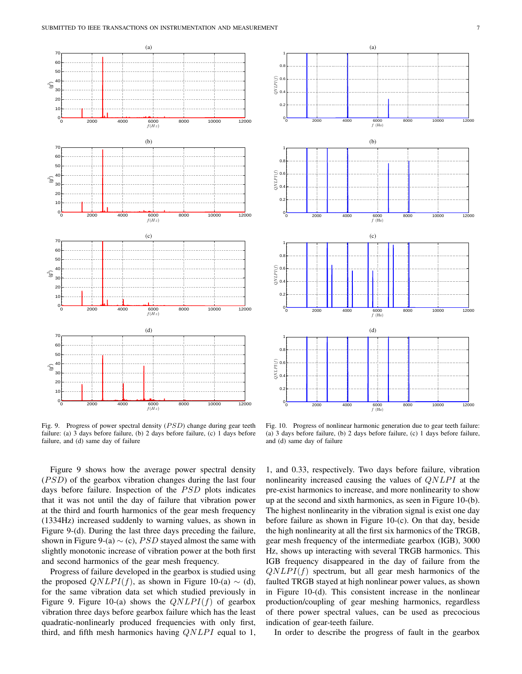

Fig. 9. Progress of power spectral density  $(PSD)$  change during gear teeth failure: (a) 3 days before failure, (b) 2 days before failure, (c) 1 days before failure, and (d) same day of failure



Fig. 10. Progress of nonlinear harmonic generation due to gear teeth failure: (a) 3 days before failure, (b) 2 days before failure, (c) 1 days before failure, and (d) same day of failure

Figure 9 shows how the average power spectral density  $(PSD)$  of the gearbox vibration changes during the last four days before failure. Inspection of the  $PSD$  plots indicates that it was not until the day of failure that vibration power at the third and fourth harmonics of the gear mesh frequency (1334Hz) increased suddenly to warning values, as shown in Figure 9-(d). During the last three days preceding the failure, shown in Figure 9-(a)  $\sim$  (c), *PSD* stayed almost the same with slightly monotonic increase of vibration power at the both first and second harmonics of the gear mesh frequency.

Progress of failure developed in the gearbox is studied using the proposed  $QNLPI(f)$ , as shown in Figure 10-(a)  $\sim$  (d), for the same vibration data set which studied previously in Figure 9. Figure 10-(a) shows the  $QNLPI(f)$  of gearbox vibration three days before gearbox failure which has the least quadratic-nonlinearly produced frequencies with only first, third, and fifth mesh harmonics having  $QNLPI$  equal to 1,

1, and 0.33, respectively. Two days before failure, vibration nonlinearity increased causing the values of  $QNLPI$  at the pre-exist harmonics to increase, and more nonlinearity to show up at the second and sixth harmonics, as seen in Figure 10-(b). The highest nonlinearity in the vibration signal is exist one day before failure as shown in Figure 10-(c). On that day, beside the high nonlinearity at all the first six harmonics of the TRGB, gear mesh frequency of the intermediate gearbox (IGB), 3000 Hz, shows up interacting with several TRGB harmonics. This IGB frequency disappeared in the day of failure from the  $QNLPI(f)$  spectrum, but all gear mesh harmonics of the faulted TRGB stayed at high nonlinear power values, as shown in Figure 10-(d). This consistent increase in the nonlinear production/coupling of gear meshing harmonics, regardless of there power spectral values, can be used as precocious indication of gear-teeth failure.

In order to describe the progress of fault in the gearbox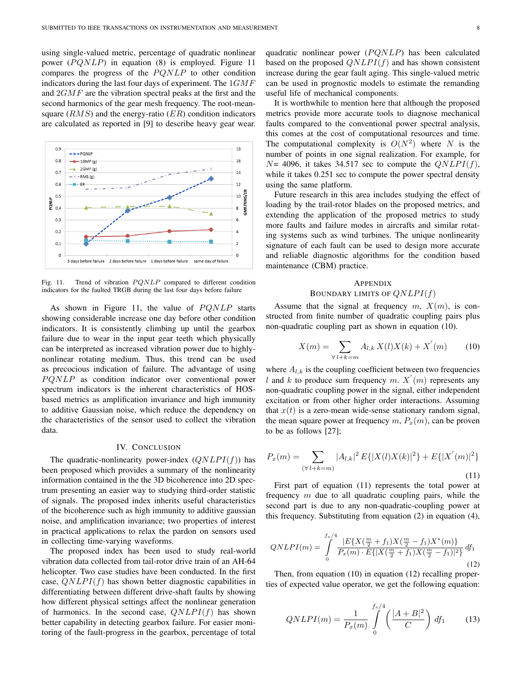using single-valued metric, percentage of quadratic nonlinear power  $(PQNLP)$  in equation (8) is employed. Figure 11 compares the progress of the  $PQNLP$  to other condition indicators during the last four days of experiment. The  $1GMF$ and 2GMF are the vibration spectral peaks at the first and the second harmonics of the gear mesh frequency. The root-meansquare  $(RMS)$  and the energy-ratio  $(ER)$  condition indicators are calculated as reported in [9] to describe heavy gear wear.



Fig. 11. Trend of vibration  $PQNLP$  compared to different condition indicators for the faulted TRGB during the last four days before failure

As shown in Figure 11, the value of  $PQNLP$  starts showing considerable increase one day before other condition indicators. It is consistently climbing up until the gearbox failure due to wear in the input gear teeth which physically can be interpreted as increased vibration power due to highlynonlinear rotating medium. Thus, this trend can be used as precocious indication of failure. The advantage of using  $PQNLP$  as condition indicator over conventional power spectrum indicators is the inherent characteristics of HOSbased metrics as amplification invariance and high immunity to additive Gaussian noise, which reduce the dependency on the characteristics of the sensor used to collect the vibration data.

### IV. CONCLUSION

The quadratic-nonlinearity power-index  $(QNLPI(f))$  has been proposed which provides a summary of the nonlinearity information contained in the the 3D bicoherence into 2D spectrum presenting an easier way to studying third-order statistic of signals. The proposed index inherits useful characteristics of the bicoherence such as high immunity to additive gaussian noise, and amplification invariance; two properties of interest in practical applications to relax the pardon on sensors used in collecting time-varying waveforms.

The proposed index has been used to study real-world vibration data collected from tail-rotor drive train of an AH-64 helicopter. Two case studies have been conducted. In the first case,  $QNLPI(f)$  has shown better diagnostic capabilities in differentiating between different drive-shaft faults by showing how different physical settings affect the nonlinear generation of harmonics. In the second case,  $QNLPI(f)$  has shown better capability in detecting gearbox failure. For easier monitoring of the fault-progress in the gearbox, percentage of total quadratic nonlinear power  $(PQNLP)$  has been calculated based on the proposed  $QNLPI(f)$  and has shown consistent increase during the gear fault aging. This single-valued metric can be used in prognostic models to estimate the remanding useful life of mechanical components.

It is worthwhile to mention here that although the proposed metrics provide more accurate tools to diagnose mechanical faults compared to the conventional power spectral analysis, this comes at the cost of computational resources and time. The computational complexity is  $O(N^2)$  where N is the number of points in one signal realization. For example, for  $N=$  4096, it takes 34.517 sec to compute the  $QNLPI(f)$ , while it takes  $0.251$  sec to compute the power spectral density using the same platform.

Future research in this area includes studying the effect of loading by the trail-rotor blades on the proposed metrics, and extending the application of the proposed metrics to study more faults and failure modes in aircrafts and similar rotating systems such as wind turbines. The unique nonlinearity signature of each fault can be used to design more accurate and reliable diagnostic algorithms for the condition based maintenance (CBM) practice.

# APPENDIX BOUNDARY LIMITS OF  $QNLPI(f)$

Assume that the signal at frequency  $m, X(m)$ , is constructed from finite number of quadratic coupling pairs plus non-quadratic coupling part as shown in equation (10).

$$
X(m) = \sum_{\forall l+k=m} A_{l,k} X(l) X(k) + X^{'}(m) \tag{10}
$$

where  $A_{l,k}$  is the coupling coefficient between two frequencies l and k to produce sum frequency m.  $X'(m)$  represents any non-quadratic coupling power in the signal, either independent excitation or from other higher order interactions. Assuming that  $x(t)$  is a zero-mean wide-sense stationary random signal, the mean square power at frequency  $m, P_x(m)$ , can be proven to be as follows [27];

$$
P_x(m) = \sum_{(\forall l+k=m)} |A_{l,k}|^2 E\{|X(l)X(k)|^2\} + E\{|X^{'}(m)|^2\}
$$
\n(11)

First part of equation (11) represents the total power at frequency  $m$  due to all quadratic coupling pairs, while the second part is due to any non-quadratic-coupling power at this frequency. Substituting from equation (2) in equation (4),

$$
QNLPI(m) = \int_{0}^{f_s/4} \frac{|E\{X(\frac{m}{2} + f_1)X(\frac{m}{2} - f_1)X^*(m)\}}{P_x(m) \cdot E\{|X(\frac{m}{2} + f_1)X(\frac{m}{2} - f_1)|^2\}} df_1
$$
\n(12)

Then, from equation (10) in equation (12) recalling properties of expected value operator, we get the following equation:

$$
QNLPI(m) = \frac{1}{P_x(m)} \int_{0}^{f_s/4} \left(\frac{|A+B|^2}{C}\right) df_1 \qquad (13)
$$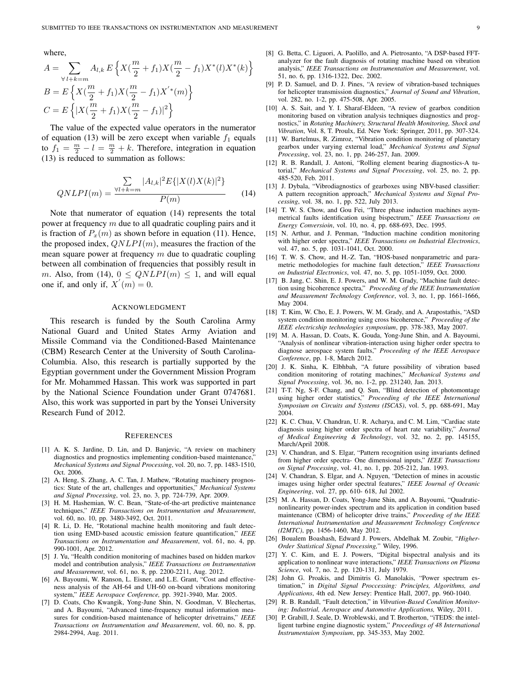where,

$$
A = \sum_{\forall l+k=m} A_{l,k} E\left\{ X(\frac{m}{2} + f_1) X(\frac{m}{2} - f_1) X^*(l) X^*(k) \right\}
$$
  
\n
$$
B = E\left\{ X(\frac{m}{2} + f_1) X(\frac{m}{2} - f_1) X^*(m) \right\}
$$
  
\n
$$
C = E\left\{ |X(\frac{m}{2} + f_1) X(\frac{m}{2} - f_1)|^2 \right\}
$$

The value of the expected value operators in the numerator of equation (13) will be zero except when variable  $f_1$  equals to  $f_1 = \frac{m}{2} - l = \frac{m}{2} + k$ . Therefore, integration in equation (13) is reduced to summation as follows:

$$
QNLPI(m) = \frac{\sum_{Vl+k=m} |A_{l,k}|^2 E\{|X(l)X(k)|^2\}}{P(m)} \tag{14}
$$

Note that numerator of equation (14) represents the total power at frequency  $m$  due to all quadratic coupling pairs and it is fraction of  $P_x(m)$  as shown before in equation (11). Hence, the proposed index,  $QNLPI(m)$ , measures the fraction of the mean square power at frequency  $m$  due to quadratic coupling between all combination of frequencies that possibly result in m. Also, from (14),  $0 \le QNLPI(m) \le 1$ , and will equal one if, and only if,  $X'(m) = 0$ .

#### ACKNOWLEDGMENT

This research is funded by the South Carolina Army National Guard and United States Army Aviation and Missile Command via the Conditioned-Based Maintenance (CBM) Research Center at the University of South Carolina-Columbia. Also, this research is partially supported by the Egyptian government under the Government Mission Program for Mr. Mohammed Hassan. This work was supported in part by the National Science Foundation under Grant 0747681. Also, this work was supported in part by the Yonsei University Research Fund of 2012.

#### **REFERENCES**

- [1] A. K. S. Jardine, D. Lin, and D. Banjevic, "A review on machinery diagnostics and prognostics implementing condition-based maintenance, *Mechanical Systems and Signal Processing*, vol. 20, no. 7, pp. 1483-1510, Oct. 2006.
- [2] A. Heng, S. Zhang, A. C. Tan, J. Mathew, "Rotating machinery prognostics: State of the art, challenges and opportunities," *Mechanical Systems and Signal Processing*, vol. 23, no. 3, pp. 724-739, Apr. 2009.
- [3] H. M. Hashemian, W. C. Bean, "State-of-the-art predictive maintenance techniques," *IEEE Transactions on Instrumentation and Measurement*, vol. 60, no. 10, pp. 3480-3492, Oct. 2011.
- [4] R. Li, D. He, "Rotational machine health monitoring and fault detection using EMD-based acoustic emission feature quantification," *IEEE Transactions on Instrumentation and Measurement*, vol. 61, no. 4, pp. 990-1001, Apr. 2012.
- [5] J. Yu, "Health condition monitoring of machines based on hidden markov model and contribution analysis," *IEEE Transactions on Instrumentation and Measurement*, vol. 61, no. 8, pp. 2200-2211, Aug. 2012.
- [6] A. Bayoumi, W. Ranson, L. Eisner, and L.E. Grant, "Cost and effectiveness analysis of the AH-64 and UH-60 on-board vibrations monitoring system," *IEEE Aerospace Conference,* pp. 3921-3940, Mar. 2005.
- [7] D. Coats, Cho Kwangik, Yong-June Shin, N. Goodman, V. Blechertas, and A. Bayoumi, "Advanced time-frequency mutual information measures for condition-based maintenance of helicopter drivetrains," *IEEE Transactions on Instrumentation and Measurement*, vol. 60, no. 8, pp. 2984-2994, Aug. 2011.
- [8] G. Betta, C. Liguori, A. Paolillo, and A. Pietrosanto, "A DSP-based FFTanalyzer for the fault diagnosis of rotating machine based on vibration analysis," *IEEE Transactions on Instrumentation and Measurement*, vol. 51, no. 6, pp. 1316-1322, Dec. 2002.
- [9] P. D. Samuel, and D. J. Pines, "A review of vibration-based techniques for helicopter transmission diagnostics," *Journal of Sound and Vibration*, vol. 282, no. 1-2, pp. 475-508, Apr. 2005.
- [10] A. S. Sait, and Y. I. Sharaf-Eldeen, "A review of gearbox condition monitoring based on vibration analysis techniques diagnostics and prognostics," in *Rotating Machinery, Structural Health Monitoring, Shock and Vibration*, Vol. 8, T. Proulx, Ed. New York: Springer, 2011, pp. 307-324.
- [11] W. Bartelmus, R. Zimroz, "Vibration condition monitoring of planetary gearbox under varying external load," *Mechanical Systems and Signal Processing*, vol. 23, no. 1, pp. 246-257, Jan. 2009.
- [12] R. B. Randall, J. Antoni, "Rolling element bearing diagnostics-A tutorial," *Mechanical Systems and Signal Processing*, vol. 25, no. 2, pp. 485-520, Feb. 2011.
- [13] J. Dybala, "Vibrodiagnostics of gearboxes using NBV-based classifier: A pattern recognition approach," *Mechanical Systems and Signal Processing*, vol. 38, no. 1, pp. 522, July 2013.
- [14] T. W. S. Chow, and Gou Fei, "Three phase induction machines asymmetrical faults identification using bispectrum," *IEEE Transactions on Energy Conversioin*, vol. 10, no. 4, pp. 688-693, Dec. 1995.
- [15] N. Arthur, and J. Penman, "Induction machine condition monitoring with higher order spectra," *IEEE Transactions on Industrial Electronics*, vol. 47, no. 5, pp. 1031-1041, Oct. 2000.
- [16] T. W. S. Chow, and H.-Z. Tan, "HOS-based nonparametric and parametric methodologies for machine fault detection," *IEEE Transactions on Industrial Electronics*, vol. 47, no. 5, pp. 1051-1059, Oct. 2000.
- [17] B. Jang, C. Shin, E. J. Powers, and W. M. Grady, "Machine fault detection using bicoherence spectra," *Proceeding of the IEEE Instrumentation and Measurement Technology Conference*, vol. 3, no. 1, pp. 1661-1666, May 2004.
- [18] T. Kim, W. Cho, E. J. Powers, W. M. Grady, and A. Arapostathis, "ASD system condition monitoring using cross bicoherence," *Proceeding of the IEEE electricship technologies symposium*, pp. 378-383, May 2007.
- [19] M. A. Hassan, D. Coats, K. Gouda, Yong-June Shin, and A. Bayoumi, "Analysis of nonlinear vibration-interaction using higher order spectra to diagnose aerospace system faults," *Proceeding of the IEEE Aerospace Conference*, pp. 1-8, March 2012.
- [20] J. K. Sinha, K. Elbhbah, "A future possibility of vibration based condition monitoring of rotating machines," *Mechanical Systems and Signal Processing*, vol. 36, no. 1-2, pp. 231240, Jan. 2013.
- [21] T-T. Ng, S-F. Chang, and Q. Sun, "Blind detection of photomontage using higher order statistics," *Proceeding of the IEEE International Symposium on Circuits and Systems (ISCAS)*, vol. 5, pp. 688-691, May 2004.
- [22] K. C. Chua, V. Chandran, U. R. Acharya, and C. M. Lim, "Cardiac state diagnosis using higher order spectra of heart rate variability," *Journal of Medical Engineering & Technology*, vol. 32, no. 2, pp. 145155, March/April 2008.
- [23] V. Chandran, and S. Elgar, "Pattern recognition using invariants defined from higher order spectra- One dimensional inputs," *IEEE Transactions on Signal Processing*, vol. 41, no. 1, pp. 205-212, Jan. 1993.
- [24] V. Chandran, S. Elgar, and A. Nguyen, "Detection of mines in acoustic images using higher order spectral features," *IEEE Journal of Oceanic Engineering*, vol. 27, pp. 610- 618, Jul 2002.
- [25] M. A. Hassan, D. Coats, Yong-June Shin, and A. Bayoumi, "Quadraticnonlinearity power-index spectrum and its application in condition based maintenance (CBM) of helicopter drive trains," *Proceeding of the IEEE International Instrumentation and Measurement Technology Conference (I2MTC)*, pp. 1456-1460, May 2012.
- [26] Boualem Boashash, Edward J. Powers, Abdelhak M. Zoubir, "*Higher-Order Statistical Signal Processing,*" Wiley, 1996.
- [27] Y. C. Kim, and E. J. Powers, "Digital bispectral analysis and its application to nonlinear wave interactions," *IEEE Transactions on Plasma Science*, vol. 7, no. 2, pp. 120-131, July 1979.
- [28] John G. Proakis, and Dimitris G. Manolakis, "Power spectrum estimation," in *Digital Signal Proccessing: Principles, Algorithms, and Applications*, 4th ed. New Jersey: Prentice Hall, 2007, pp. 960-1040.
- [29] R. B. Randall, "Fault detection," in *Vibration-Based Condition Monitoring: Industrial, Aerospace and Automotive Applications,* Wiley, 2011.
- [30] P. Grabill, J. Seale, D. Wroblewski, and T. Brotherton, "iTEDS: the intelligent turbine engine diagnostic system," *Proceedings of 48 International Instrumentaion Symposium*, pp. 345-353, May 2002.